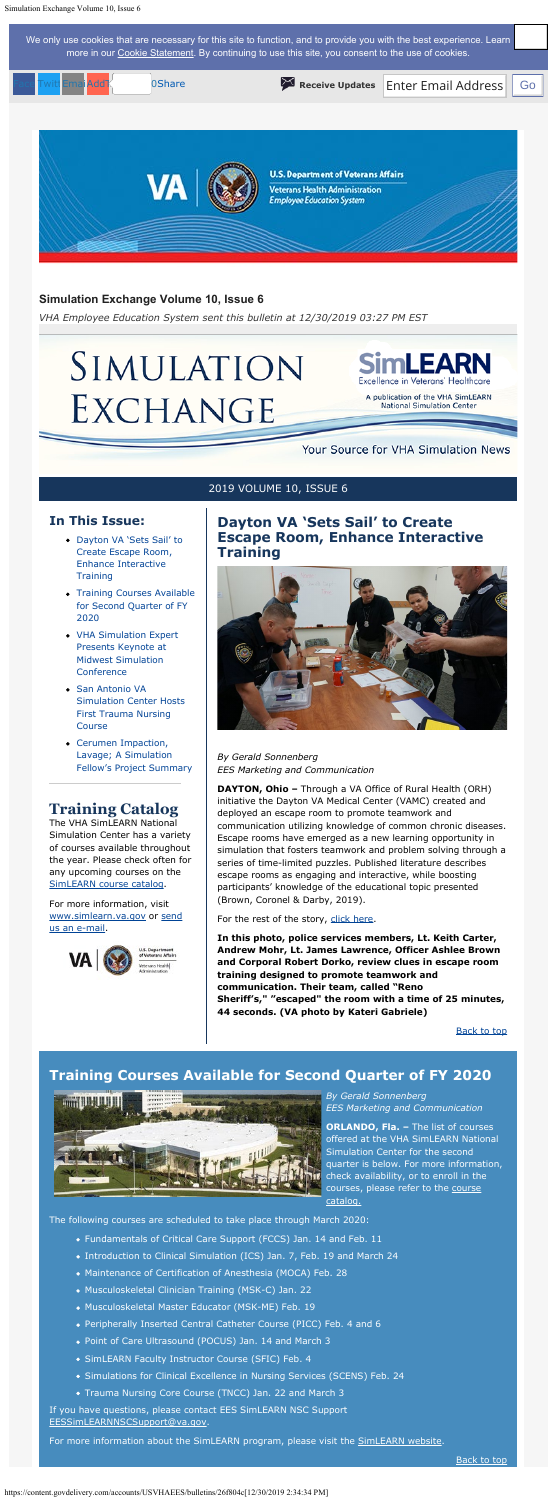### <span id="page-0-0"></span>**In This Issue:**

- [Dayton VA 'Sets Sail' to](#page-0-0) [Create Escape Room,](#page-0-0) [Enhance Interactive](#page-0-0) **[Training](#page-0-0)**
- [Training Courses Available](#page-0-1) [for Second Quarter of FY](#page-0-1) [2020](#page-0-1)
- [VHA Simulation Expert](#page-1-0) [Presents Keynote at](#page-1-0) [Midwest Simulation](#page-1-0) **[Conference](#page-1-0)**
- [San Antonio VA](#page-1-1) [Simulation Center Hosts](#page-1-1) [First Trauma Nursing](#page-1-1) [Course](#page-1-1)
- [Cerumen Impaction,](#page-1-2) [Lavage; A Simulation](#page-1-2) [Fellow's Project Summary](#page-1-2)

## **Training Catalog**

The VHA SimLEARN National Simulation Center has a variety of courses available throughout the year. Please check often for any upcoming courses on the [SimLEARN course catalog](https://myees.lrn.va.gov/SimLEARN/Class%20Registration/Course%20Catalog.aspx).

For more information, visit [www.simlearn.va.gov](http://www.simlearn.va.gov/) or [send](mailto:VASimLEARNGeneralInformation@va.gov) [us an e-mail](mailto:VASimLEARNGeneralInformation@va.gov).



For the rest of the story, [click here.](https://www.simlearn.va.gov/SIMLEARN/FA_2019_29_Dayton_VA_Sets_Sail_to_Create_Escape_Room_and_Enhance_Interactive_Training.asp)

## **Dayton VA 'Sets Sail' to Create**

**Escape Room, Enhance Interactive Training**



*By Gerald Sonnenberg EES Marketing and Communication*

> **ORLANDO, Fla. - The list of courses** offered at the VHA SimLEARN National Simulation Center for the second quarter is below. For more information, check availability, or to enroll in the courses, please refer to the [course](https://myees.lrn.va.gov/SimLEARN/Class%20Registration/Course%20Catalog.aspx#/) [catalog.](https://myees.lrn.va.gov/SimLEARN/Class%20Registration/Course%20Catalog.aspx#/)

**DAYTON, Ohio –** Through a VA Office of Rural Health (ORH) initiative the Dayton VA Medical Center (VAMC) created and deployed an escape room to promote teamwork and communication utilizing knowledge of common chronic diseases. Escape rooms have emerged as a new learning opportunity in simulation that fosters teamwork and problem solving through a series of time-limited puzzles. Published literature describes escape rooms as engaging and interactive, while boosting participants' knowledge of the educational topic presented (Brown, Coronel & Darby, 2019).

<span id="page-0-2"></span>We only use cookies that are necessary for this site to function, and to provide you with the best experience. Learn more in our [Cookie Statement](https://subscriberhelp.granicus.com/s/article/Cookies). By continuing to use this site, you consent to the use of cookies.

> **In this photo, police services members, Lt. Keith Carter, Andrew Mohr, Lt. James Lawrence, Officer Ashlee Brown and Corporal Robert Dorko, review clues in escape room training designed to promote teamwork and communication. Their team, called "Reno Sheriff's," "escaped" the room with a time of 25 minutes, 44 seconds. (VA photo by Kateri Gabriele)**

> > [Back to top](#page-0-2)

### **Simulation Exchange Volume 10, Issue 6**

*VHA Employee Education System sent this bulletin at 12/30/2019 03:27 PM EST*

# SIMULATION EXCHANGE

**ILEARN** 

A publication of the VHA SimLEARN **National Simulation Center** 

### Your Source for VHA Simulation News

2019 VOLUME 10, ISSUE 6

## <span id="page-0-1"></span>**Training Courses Available for Second Quarter of FY 2020**



*By Gerald Sonnenberg EES Marketing and Communication*

The following courses are scheduled to take place through March 2020:

- Fundamentals of Critical Care Support (FCCS) Jan. 14 and Feb. 11
	- Introduction to Clinical Simulation (ICS) Jan. 7, Feb. 19 and March 24
	- Maintenance of Certification of Anesthesia (MOCA) Feb. 28
	- Musculoskeletal Clinician Training (MSK-C) Jan. 22
	- Musculoskeletal Master Educator (MSK-ME) Feb. 19
	- Peripherally Inserted Central Catheter Course (PICC) Feb. 4 and 6
	- Point of Care Ultrasound (POCUS) Jan. 14 and March 3
	- SimLEARN Faculty Instructor Course (SFIC) Feb. 4
	- Simulations for Clinical Excellence in Nursing Services (SCENS) Feb. 24
	- Trauma Nursing Core Course (TNCC) Jan. 22 and March 3

If you have questions, please contact EES SimLEARN NSC Support [EESSimLEARNNSCSupport@va.gov.](mailto:EESSimLEARNNSCSupport@va.gov)

For more information about the SimLEARN program, please visit the [SimLEARN website.](https://www.simlearn.va.gov/)



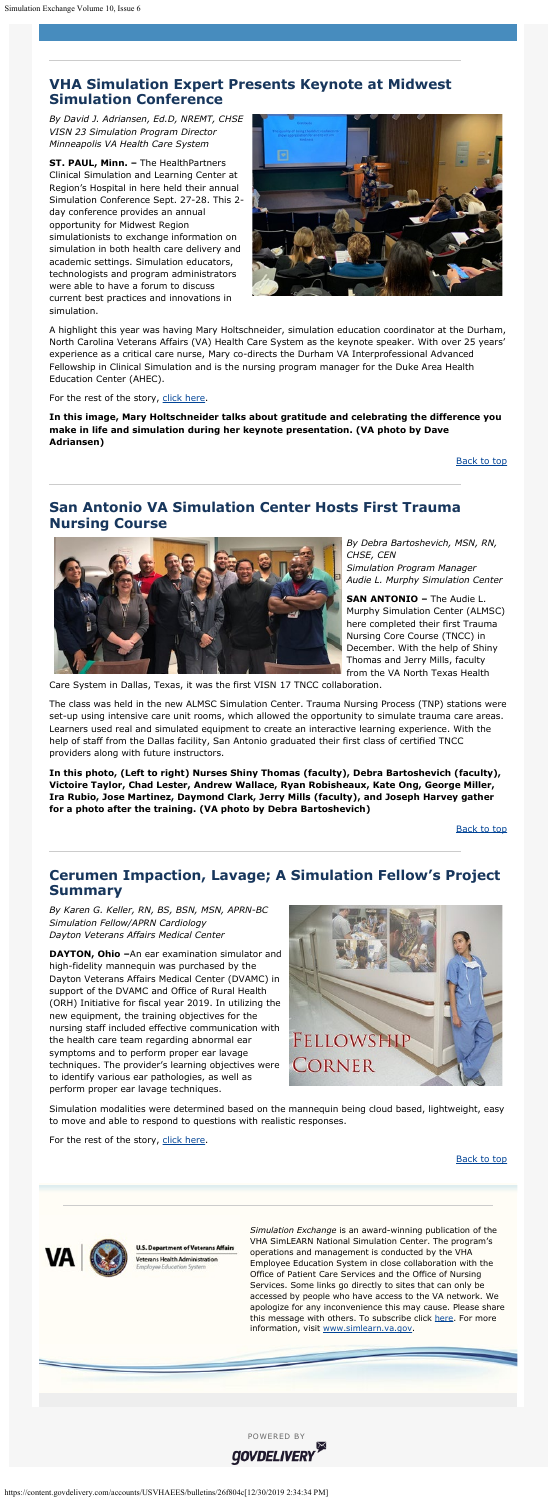*Simulation Exchange* is an award-winning publication of the VHA SimLEARN National Simulation Center. The program's operations and management is conducted by the VHA Employee Education System in close collaboration with the Office of Patient Care Services and the Office of Nursing Services. Some links go directly to sites that can only be accessed by people who have access to the VA network. We apologize for any inconvenience this may cause. Please share this message with others. To subscribe click [here](https://public.govdelivery.com/accounts/USVHAEES/subscriber/new). For more information, visit [www.simlearn.va.gov](http://www.simlearn.va.gov/).

### <span id="page-1-0"></span>**VHA Simulation Expert Presents Keynote at Midwest Simulation Conference**

*By David J. Adriansen, Ed.D, NREMT, CHSE VISN 23 Simulation Program Director Minneapolis VA Health Care System*

**ST. PAUL, Minn. –** The HealthPartners Clinical Simulation and Learning Center at Region's Hospital in here held their annual Simulation Conference Sept. 27-28. This 2 day conference provides an annual opportunity for Midwest Region simulationists to exchange information on simulation in both health care delivery and academic settings. Simulation educators, technologists and program administrators were able to have a forum to discuss current best practices and innovations in simulation.



A highlight this year was having Mary Holtschneider, simulation education coordinator at the Durham, North Carolina Veterans Affairs (VA) Health Care System as the keynote speaker. With over 25 years' experience as a critical care nurse, Mary co-directs the Durham VA Interprofessional Advanced Fellowship in Clinical Simulation and is the nursing program manager for the Duke Area Health Education Center (AHEC).

For the rest of the story, [click here](https://www.simlearn.va.gov/SIMLEARN/FA_2019_30_VHA_Simulation_Expert_Presents_Keynote_at_Midwest_Simulation_Conference.asp).

**In this image, Mary Holtschneider talks about gratitude and celebrating the difference you make in life and simulation during her keynote presentation. (VA photo by Dave Adriansen)**

**[Back to top](#page-0-2)** 

### <span id="page-1-1"></span>**San Antonio VA Simulation Center Hosts First Trauma Nursing Course**



*By Debra Bartoshevich, MSN, RN, CHSE, CEN Simulation Program Manager Audie L. Murphy Simulation Center*

**SAN ANTONIO –** The Audie L. Murphy Simulation Center (ALMSC) here completed their first Trauma Nursing Core Course (TNCC) in December. With the help of Shiny Thomas and Jerry Mills, faculty from the VA North Texas Health

Care System in Dallas, Texas, it was the first VISN 17 TNCC collaboration.

The class was held in the new ALMSC Simulation Center. Trauma Nursing Process (TNP) stations were set-up using intensive care unit rooms, which allowed the opportunity to simulate trauma care areas. Learners used real and simulated equipment to create an interactive learning experience. With the help of staff from the Dallas facility, San Antonio graduated their first class of certified TNCC providers along with future instructors.

**In this photo, (Left to right) Nurses Shiny Thomas (faculty), Debra Bartoshevich (faculty), Victoire Taylor, Chad Lester, Andrew Wallace, Ryan Robisheaux, Kate Ong, George Miller, Ira Rubio, Jose Martinez, Daymond Clark, Jerry Mills (faculty), and Joseph Harvey gather for a photo after the training. (VA photo by Debra Bartoshevich)**

### <span id="page-1-2"></span>**Cerumen Impaction, Lavage; A Simulation Fellow's Project Summary**

*By Karen G. Keller, RN, BS, BSN, MSN, APRN-BC Simulation Fellow/APRN Cardiology Dayton Veterans Affairs Medical Center*

**DAYTON, Ohio –**An ear examination simulator and high-fidelity mannequin was purchased by the Dayton Veterans Affairs Medical Center (DVAMC) in support of the DVAMC and Office of Rural Health (ORH) Initiative for fiscal year 2019. In utilizing the new equipment, the training objectives for the nursing staff included effective communication with the health care team regarding abnormal ear symptoms and to perform proper ear lavage techniques. The provider's learning objectives were to identify various ear pathologies, as well as perform proper ear lavage techniques.



Simulation modalities were determined based on the mannequin being cloud based, lightweight, easy to move and able to respond to questions with realistic responses.

For the rest of the story, [click here](https://www.simlearn.va.gov/SIMLEARN/FA_2019_32_Cerumen_Impaction_Lavage_A_Simulation_Fellows_Project_Summary.asp).

[Back to top](#page-0-2)



**U.S. Department of Veterans Affairs** Veterans Health Administration o Education Syste